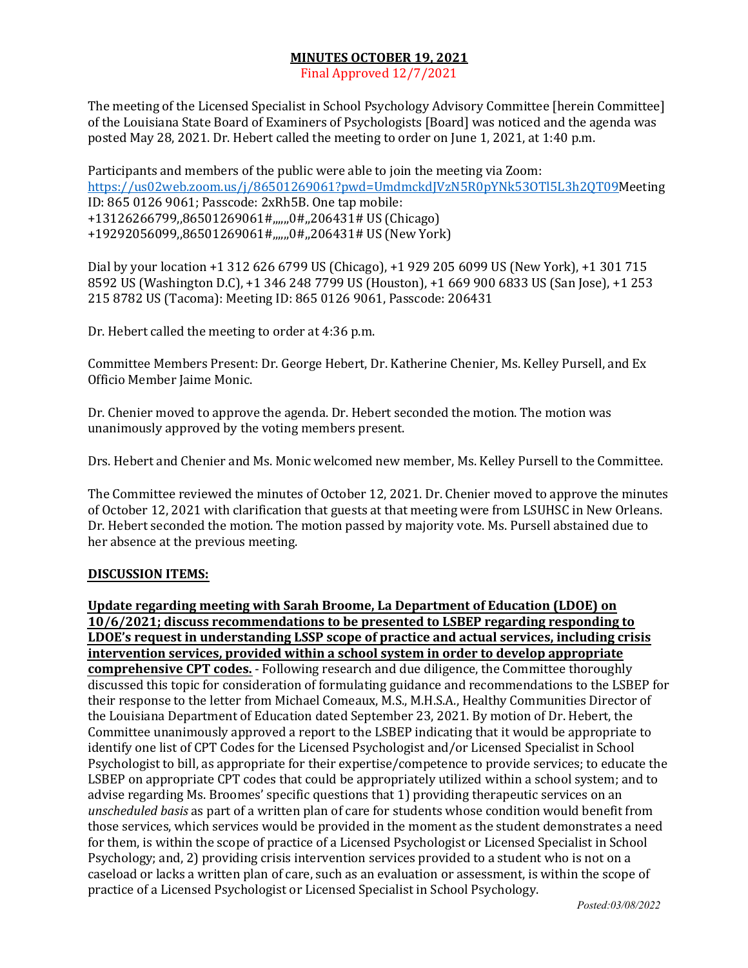## **MINUTES OCTOBER 19, 2021**

Final Approved 12/7/2021

The meeting of the Licensed Specialist in School Psychology Advisory Committee [herein Committee] of the Louisiana State Board of Examiners of Psychologists [Board] was noticed and the agenda was posted May 28, 2021. Dr. Hebert called the meeting to order on June 1, 2021, at 1:40 p.m.

Participants and members of the public were able to join the meeting via Zoom: https://us02web.zoom.us/j/86501269061?pwd=UmdmckdJVzN5R0pYNk53OTl5L3h2QT09Meeting ID: 865 0126 9061; Passcode: 2xRh5B. One tap mobile: +13126266799,,86501269061#,,,,,,0#,,206431# US (Chicago) +19292056099,,86501269061#,,,,,,0#,,206431# US (New York)

Dial by your location +1 312 626 6799 US (Chicago), +1 929 205 6099 US (New York), +1 301 715 8592 US (Washington D.C), +1 346 248 7799 US (Houston), +1 669 900 6833 US (San Jose), +1 253 215 8782 US (Tacoma): Meeting ID: 865 0126 9061, Passcode: 206431 

Dr. Hebert called the meeting to order at 4:36 p.m. 

Committee Members Present: Dr. George Hebert, Dr. Katherine Chenier, Ms. Kelley Pursell, and Ex Officio Member Jaime Monic.

Dr. Chenier moved to approve the agenda. Dr. Hebert seconded the motion. The motion was unanimously approved by the voting members present.

Drs. Hebert and Chenier and Ms. Monic welcomed new member, Ms. Kelley Pursell to the Committee.

The Committee reviewed the minutes of October 12, 2021. Dr. Chenier moved to approve the minutes of October 12, 2021 with clarification that guests at that meeting were from LSUHSC in New Orleans. Dr. Hebert seconded the motion. The motion passed by majority vote. Ms. Pursell abstained due to her absence at the previous meeting.

## **DISCUSSION ITEMS:**

**Update regarding meeting with Sarah Broome, La Department of Education (LDOE) on 10/6/2021; discuss recommendations to be presented to LSBEP regarding responding to LDOE's request in understanding LSSP scope of practice and actual services, including crisis intervention services, provided within a school system in order to develop appropriate comprehensive CPT codes.** - Following research and due diligence, the Committee thoroughly discussed this topic for consideration of formulating guidance and recommendations to the LSBEP for their response to the letter from Michael Comeaux, M.S., M.H.S.A., Healthy Communities Director of the Louisiana Department of Education dated September 23, 2021. By motion of Dr. Hebert, the Committee unanimously approved a report to the LSBEP indicating that it would be appropriate to identify one list of CPT Codes for the Licensed Psychologist and/or Licensed Specialist in School Psychologist to bill, as appropriate for their expertise/competence to provide services; to educate the LSBEP on appropriate CPT codes that could be appropriately utilized within a school system; and to advise regarding Ms. Broomes' specific questions that 1) providing therapeutic services on an unscheduled basis as part of a written plan of care for students whose condition would benefit from those services, which services would be provided in the moment as the student demonstrates a need for them, is within the scope of practice of a Licensed Psychologist or Licensed Specialist in School Psychology; and, 2) providing crisis intervention services provided to a student who is not on a caseload or lacks a written plan of care, such as an evaluation or assessment, is within the scope of practice of a Licensed Psychologist or Licensed Specialist in School Psychology.